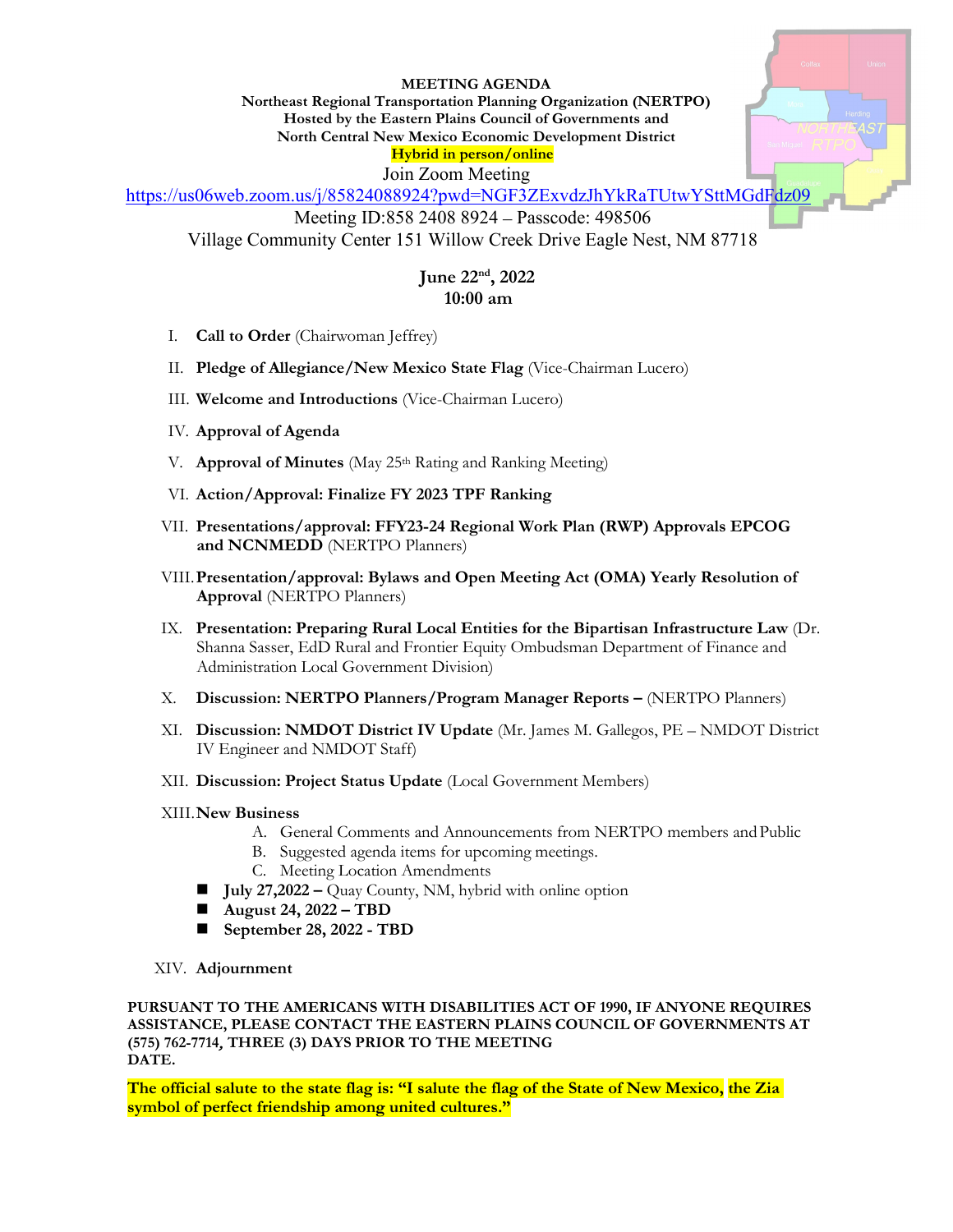## **MEETING AGENDA**

**Northeast Regional Transportation Planning Organization (NERTPO) Hosted by the Eastern Plains Council of Governments and North Central New Mexico Economic Development District Hybrid in person/online**

Join Zoom Meeting

<https://us06web.zoom.us/j/85824088924?pwd=NGF3ZExvdzJhYkRaTUtwYSttMGdFdz09>

Meeting ID:858 2408 8924 – Passcode: 498506

Village Community Center 151 Willow Creek Drive Eagle Nest, NM 87718

## **June 22nd, 2022 10:00 am**

- I. **Call to Order** (Chairwoman Jeffrey)
- II. **Pledge of Allegiance/New Mexico State Flag** (Vice-Chairman Lucero)
- III. **Welcome and Introductions** (Vice-Chairman Lucero)
- IV. **Approval of Agenda**
- V. **Approval of Minutes** (May 25th Rating and Ranking Meeting)
- VI. **Action/Approval: Finalize FY 2023 TPF Ranking**
- VII. **Presentations/approval: FFY23-24 Regional Work Plan (RWP) Approvals EPCOG and NCNMEDD** (NERTPO Planners)
- VIII.**Presentation/approval: Bylaws and Open Meeting Act (OMA) Yearly Resolution of Approval** (NERTPO Planners)
- IX. **Presentation: Preparing Rural Local Entities for the Bipartisan Infrastructure Law** (Dr. Shanna Sasser, EdD Rural and Frontier Equity Ombudsman Department of Finance and Administration Local Government Division)
- X. **Discussion: NERTPO Planners/Program Manager Reports –** (NERTPO Planners)
- XI. **Discussion: NMDOT District IV Update** (Mr. James M. Gallegos, PE NMDOT District IV Engineer and NMDOT Staff)
- XII. **Discussion: Project Status Update** (Local Government Members)
- XIII.**New Business**
	- A. General Comments and Announcements from NERTPO members andPublic
	- B. Suggested agenda items for upcoming meetings.
	- C. Meeting Location Amendments
	- **July 27,2022** Quay County, NM, hybrid with online option
	- **August 24, 2022 – TBD**
	- **September 28, 2022 - TBD**
- XIV. **Adjournment**

**PURSUANT TO THE AMERICANS WITH DISABILITIES ACT OF 1990, IF ANYONE REQUIRES ASSISTANCE, PLEASE CONTACT THE EASTERN PLAINS COUNCIL OF GOVERNMENTS AT (575) 762-7714**, **THREE (3) DAYS PRIOR TO THE MEETING DATE.** 

**The official salute to the state flag is: "I salute the flag of the State of New Mexico, the Zia symbol of perfect friendship among united cultures."**